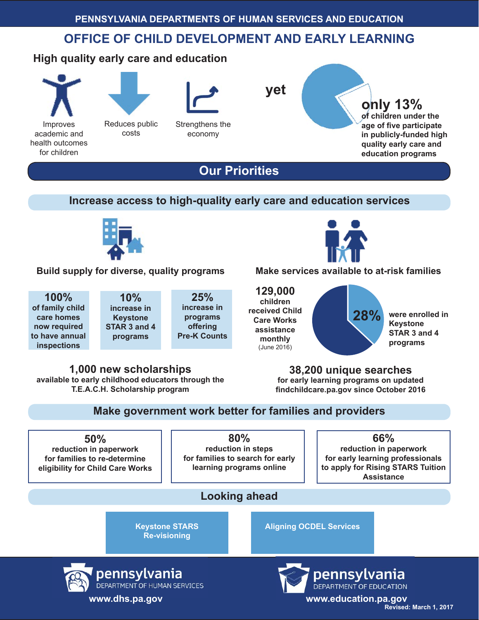## **OFFICE OF CHILD DEVELOPMENT AND EARLY LEARNING**

## **High quality early care and education**



Improves academic and health outcomes for children



Reduces public costs

Strengthens the

economy



**yet**

**only 13% of children under the age of fi ve participate in publicly-funded high quality early care and education programs**

**Our Priorities**

#### **Increase access to high-quality early care and education services**



**Build supply for diverse, quality programs Make services available to at-risk families**

**100% of family child care homes now required to have annual inspections**

**10% increase in Keystone STAR 3 and 4 programs**

**25% increase in programs offering Pre-K Counts**



**129,000 children received Child Care Works assistance monthly**  (June 2016)



**were enrolled in Keystone STAR 3 and 4 programs**

**1,000 new scholarships available to early childhood educators through the T.E.A.C.H. Scholarship program**

**38,200 unique searches for early learning programs on updated fi ndchildcare.pa.gov since October 2016**

#### **Make government work better for families and providers**

**50% reduction in paperwork for families to re-determine eligibility for Child Care Works**

**80% reduction in steps for families to search for early learning programs online**

**66% reduction in paperwork for early learning professionals to apply for Rising STARS Tuition Assistance**

### **Looking ahead**

**Keystone STARS Re-visioning**





**pennsylvania**<br>**DEPARTMENT OF EDUCATION**